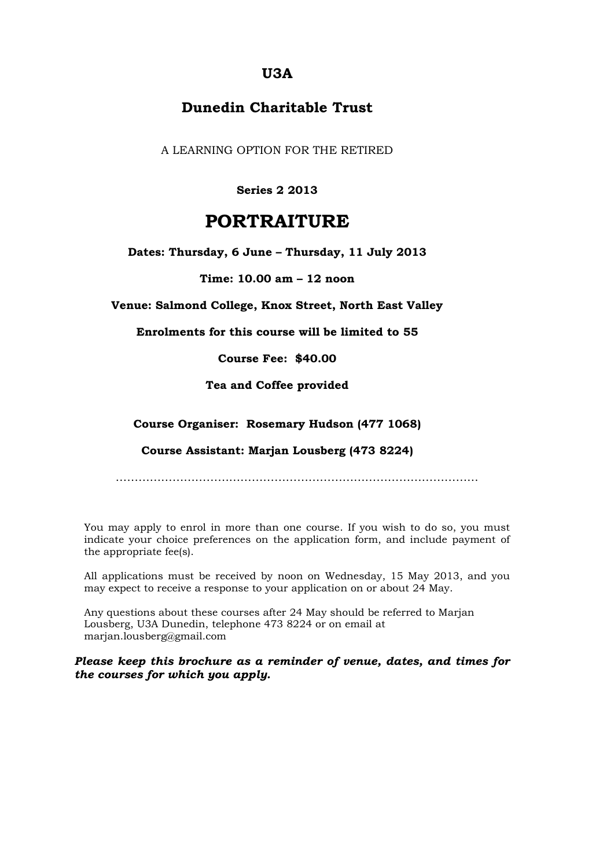### **U3A**

## **Dunedin Charitable Trust**

A LEARNING OPTION FOR THE RETIRED

**Series 2 2013**

# **PORTRAITURE**

**Dates: Thursday, 6 June – Thursday, 11 July 2013**

**Time: 10.00 am – 12 noon**

**Venue: Salmond College, Knox Street, North East Valley**

**Enrolments for this course will be limited to 55**

**Course Fee: \$40.00**

**Tea and Coffee provided**

**Course Organiser: Rosemary Hudson (477 1068)**

**Course Assistant: Marjan Lousberg (473 8224)**

……………………………………………………………………………………

You may apply to enrol in more than one course. If you wish to do so, you must indicate your choice preferences on the application form, and include payment of the appropriate fee(s).

All applications must be received by noon on Wednesday, 15 May 2013, and you may expect to receive a response to your application on or about 24 May.

Any questions about these courses after 24 May should be referred to Marjan Lousberg, U3A Dunedin, telephone 473 8224 or on email at marjan.lousberg@gmail.com

*Please keep this brochure as a reminder of venue, dates, and times for the courses for which you apply.*